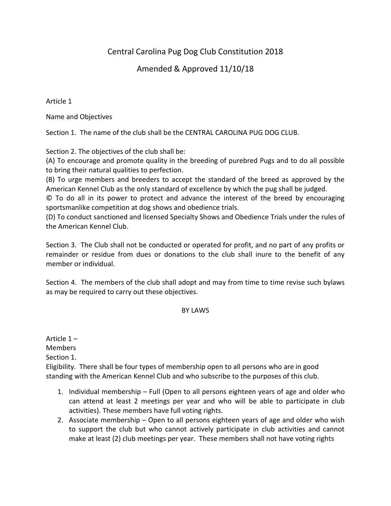# Central Carolina Pug Dog Club Constitution 2018

# Amended & Approved 11/10/18

Article 1

Name and Objectives

Section 1. The name of the club shall be the CENTRAL CAROLINA PUG DOG CLUB.

Section 2. The objectives of the club shall be:

(A) To encourage and promote quality in the breeding of purebred Pugs and to do all possible to bring their natural qualities to perfection.

(B) To urge members and breeders to accept the standard of the breed as approved by the American Kennel Club as the only standard of excellence by which the pug shall be judged.

© To do all in its power to protect and advance the interest of the breed by encouraging sportsmanlike competition at dog shows and obedience trials.

(D) To conduct sanctioned and licensed Specialty Shows and Obedience Trials under the rules of the American Kennel Club.

Section 3. The Club shall not be conducted or operated for profit, and no part of any profits or remainder or residue from dues or donations to the club shall inure to the benefit of any member or individual.

Section 4. The members of the club shall adopt and may from time to time revise such bylaws as may be required to carry out these objectives.

#### BY LAWS

Article 1 – **Members** Section 1. Eligibility. There shall be four types of membership open to all persons who are in good standing with the American Kennel Club and who subscribe to the purposes of this club.

- 1. Individual membership Full (Open to all persons eighteen years of age and older who can attend at least 2 meetings per year and who will be able to participate in club activities). These members have full voting rights.
- 2. Associate membership Open to all persons eighteen years of age and older who wish to support the club but who cannot actively participate in club activities and cannot make at least (2) club meetings per year. These members shall not have voting rights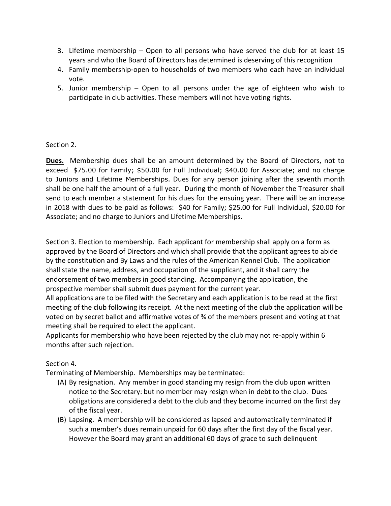- 3. Lifetime membership Open to all persons who have served the club for at least 15 years and who the Board of Directors has determined is deserving of this recognition
- 4. Family membership-open to households of two members who each have an individual vote.
- 5. Junior membership Open to all persons under the age of eighteen who wish to participate in club activities. These members will not have voting rights.

# Section 2.

**Dues.** Membership dues shall be an amount determined by the Board of Directors, not to exceed \$75.00 for Family; \$50.00 for Full Individual; \$40.00 for Associate; and no charge to Juniors and Lifetime Memberships. Dues for any person joining after the seventh month shall be one half the amount of a full year. During the month of November the Treasurer shall send to each member a statement for his dues for the ensuing year. There will be an increase in 2018 with dues to be paid as follows: \$40 for Family; \$25.00 for Full Individual, \$20.00 for Associate; and no charge to Juniors and Lifetime Memberships.

Section 3. Election to membership. Each applicant for membership shall apply on a form as approved by the Board of Directors and which shall provide that the applicant agrees to abide by the constitution and By Laws and the rules of the American Kennel Club. The application shall state the name, address, and occupation of the supplicant, and it shall carry the endorsement of two members in good standing. Accompanying the application, the prospective member shall submit dues payment for the current year.

All applications are to be filed with the Secretary and each application is to be read at the first meeting of the club following its receipt. At the next meeting of the club the application will be voted on by secret ballot and affirmative votes of ¾ of the members present and voting at that meeting shall be required to elect the applicant.

Applicants for membership who have been rejected by the club may not re-apply within 6 months after such rejection.

# Section 4.

Terminating of Membership. Memberships may be terminated:

- (A) By resignation. Any member in good standing my resign from the club upon written notice to the Secretary: but no member may resign when in debt to the club. Dues obligations are considered a debt to the club and they become incurred on the first day of the fiscal year.
- (B) Lapsing. A membership will be considered as lapsed and automatically terminated if such a member's dues remain unpaid for 60 days after the first day of the fiscal year. However the Board may grant an additional 60 days of grace to such delinquent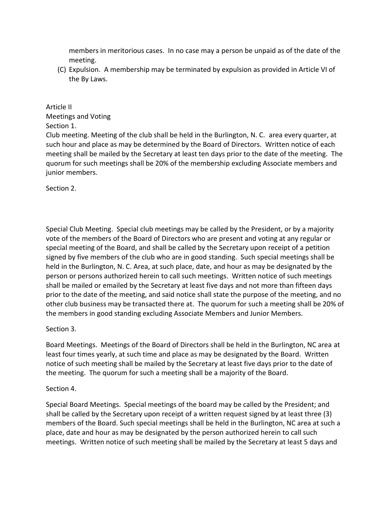members in meritorious cases. In no case may a person be unpaid as of the date of the meeting.

(C) Expulsion. A membership may be terminated by expulsion as provided in Article VI of the By Laws.

## Article II

Meetings and Voting

# Section 1.

Club meeting. Meeting of the club shall be held in the Burlington, N. C. area every quarter, at such hour and place as may be determined by the Board of Directors. Written notice of each meeting shall be mailed by the Secretary at least ten days prior to the date of the meeting. The quorum for such meetings shall be 20% of the membership excluding Associate members and junior members.

Section 2.

Special Club Meeting. Special club meetings may be called by the President, or by a majority vote of the members of the Board of Directors who are present and voting at any regular or special meeting of the Board, and shall be called by the Secretary upon receipt of a petition signed by five members of the club who are in good standing. Such special meetings shall be held in the Burlington, N. C. Area, at such place, date, and hour as may be designated by the person or persons authorized herein to call such meetings. Written notice of such meetings shall be mailed or emailed by the Secretary at least five days and not more than fifteen days prior to the date of the meeting, and said notice shall state the purpose of the meeting, and no other club business may be transacted there at. The quorum for such a meeting shall be 20% of the members in good standing excluding Associate Members and Junior Members.

# Section 3.

Board Meetings. Meetings of the Board of Directors shall be held in the Burlington, NC area at least four times yearly, at such time and place as may be designated by the Board. Written notice of such meeting shall be mailed by the Secretary at least five days prior to the date of the meeting. The quorum for such a meeting shall be a majority of the Board.

# Section 4.

Special Board Meetings. Special meetings of the board may be called by the President; and shall be called by the Secretary upon receipt of a written request signed by at least three (3) members of the Board. Such special meetings shall be held in the Burlington, NC area at such a place, date and hour as may be designated by the person authorized herein to call such meetings. Written notice of such meeting shall be mailed by the Secretary at least 5 days and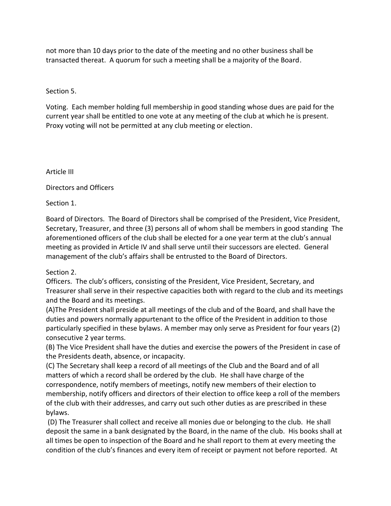not more than 10 days prior to the date of the meeting and no other business shall be transacted thereat. A quorum for such a meeting shall be a majority of the Board.

# Section 5.

Voting. Each member holding full membership in good standing whose dues are paid for the current year shall be entitled to one vote at any meeting of the club at which he is present. Proxy voting will not be permitted at any club meeting or election.

Article III

Directors and Officers

Section 1.

Board of Directors. The Board of Directors shall be comprised of the President, Vice President, Secretary, Treasurer, and three (3) persons all of whom shall be members in good standing The aforementioned officers of the club shall be elected for a one year term at the club's annual meeting as provided in Article IV and shall serve until their successors are elected. General management of the club's affairs shall be entrusted to the Board of Directors.

Section 2.

Officers. The club's officers, consisting of the President, Vice President, Secretary, and Treasurer shall serve in their respective capacities both with regard to the club and its meetings and the Board and its meetings.

(A)The President shall preside at all meetings of the club and of the Board, and shall have the duties and powers normally appurtenant to the office of the President in addition to those particularly specified in these bylaws. A member may only serve as President for four years (2) consecutive 2 year terms.

(B) The Vice President shall have the duties and exercise the powers of the President in case of the Presidents death, absence, or incapacity.

(C) The Secretary shall keep a record of all meetings of the Club and the Board and of all matters of which a record shall be ordered by the club. He shall have charge of the correspondence, notify members of meetings, notify new members of their election to membership, notify officers and directors of their election to office keep a roll of the members of the club with their addresses, and carry out such other duties as are prescribed in these bylaws.

(D) The Treasurer shall collect and receive all monies due or belonging to the club. He shall deposit the same in a bank designated by the Board, in the name of the club. His books shall at all times be open to inspection of the Board and he shall report to them at every meeting the condition of the club's finances and every item of receipt or payment not before reported. At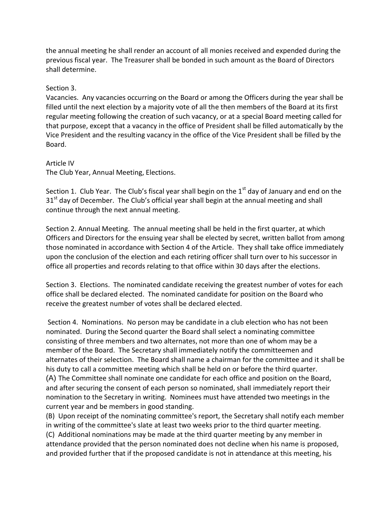the annual meeting he shall render an account of all monies received and expended during the previous fiscal year. The Treasurer shall be bonded in such amount as the Board of Directors shall determine.

#### Section 3.

Vacancies. Any vacancies occurring on the Board or among the Officers during the year shall be filled until the next election by a majority vote of all the then members of the Board at its first regular meeting following the creation of such vacancy, or at a special Board meeting called for that purpose, except that a vacancy in the office of President shall be filled automatically by the Vice President and the resulting vacancy in the office of the Vice President shall be filled by the Board.

Article IV The Club Year, Annual Meeting, Elections.

Section 1. Club Year. The Club's fiscal year shall begin on the  $1<sup>st</sup>$  day of January and end on the 31<sup>st</sup> day of December. The Club's official year shall begin at the annual meeting and shall continue through the next annual meeting.

Section 2. Annual Meeting. The annual meeting shall be held in the first quarter, at which Officers and Directors for the ensuing year shall be elected by secret, written ballot from among those nominated in accordance with Section 4 of the Article. They shall take office immediately upon the conclusion of the election and each retiring officer shall turn over to his successor in office all properties and records relating to that office within 30 days after the elections.

Section 3. Elections. The nominated candidate receiving the greatest number of votes for each office shall be declared elected. The nominated candidate for position on the Board who receive the greatest number of votes shall be declared elected.

Section 4. Nominations. No person may be candidate in a club election who has not been nominated. During the Second quarter the Board shall select a nominating committee consisting of three members and two alternates, not more than one of whom may be a member of the Board. The Secretary shall immediately notify the committeemen and alternates of their selection. The Board shall name a chairman for the committee and it shall be his duty to call a committee meeting which shall be held on or before the third quarter. (A) The Committee shall nominate one candidate for each office and position on the Board, and after securing the consent of each person so nominated, shall immediately report their nomination to the Secretary in writing. Nominees must have attended two meetings in the current year and be members in good standing.

(B) Upon receipt of the nominating committee's report, the Secretary shall notify each member in writing of the committee's slate at least two weeks prior to the third quarter meeting. (C) Additional nominations may be made at the third quarter meeting by any member in attendance provided that the person nominated does not decline when his name is proposed, and provided further that if the proposed candidate is not in attendance at this meeting, his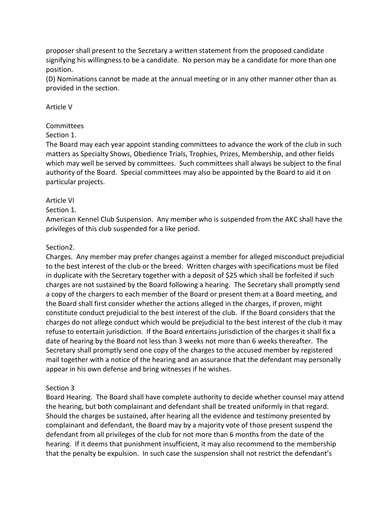proposer shall present to the Secretary a written statement from the proposed candidate signifying his willingness to be a candidate. No person may be a candidate for more than one position.

(D) Nominations cannot be made at the annual meeting or in any other manner other than as provided in the section.

## Article V

# Committees

## Section 1.

The Board may each year appoint standing committees to advance the work of the club in such matters as Specialty Shows, Obedience Trials, Trophies, Prizes, Membership, and other fields which may well be served by committees. Such committees shall always be subject to the final authority of the Board. Special committees may also be appointed by the Board to aid it on particular projects.

## Article VI

## Section 1.

American Kennel Club Suspension. Any member who is suspended from the AKC shall have the privileges of this club suspended for a like period.

## Section2.

Charges. Any member may prefer changes against a member for alleged misconduct prejudicial to the best interest of the club or the breed. Written charges with specifications must be filed in duplicate with the Secretary together with a deposit of \$25 which shall be forfeited if such charges are not sustained by the Board following a hearing. The Secretary shall promptly send a copy of the chargers to each member of the Board or present them at a Board meeting, and the Board shall first consider whether the actions alleged in the charges, if proven, might constitute conduct prejudicial to the best interest of the club. If the Board considers that the charges do not allege conduct which would be prejudicial to the best interest of the club it may refuse to entertain jurisdiction. If the Board entertains jurisdiction of the charges it shall fix a date of hearing by the Board not less than 3 weeks not more than 6 weeks thereafter. The Secretary shall promptly send one copy of the charges to the accused member by registered mail together with a notice of the hearing and an assurance that the defendant may personally appear in his own defense and bring witnesses if he wishes.

# Section 3

Board Hearing. The Board shall have complete authority to decide whether counsel may attend the hearing, but both complainant and defendant shall be treated uniformly in that regard. Should the charges be sustained, after hearing all the evidence and testimony presented by complainant and defendant, the Board may by a majority vote of those present suspend the defendant from all privileges of the club for not more than 6 months from the date of the hearing. If it deems that punishment insufficient, it may also recommend to the membership that the penalty be expulsion. In such case the suspension shall not restrict the defendant's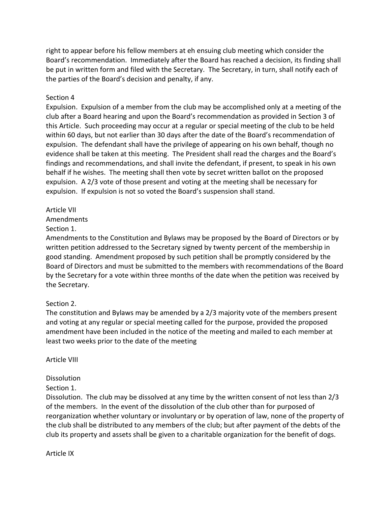right to appear before his fellow members at eh ensuing club meeting which consider the Board's recommendation. Immediately after the Board has reached a decision, its finding shall be put in written form and filed with the Secretary. The Secretary, in turn, shall notify each of the parties of the Board's decision and penalty, if any.

#### Section 4

Expulsion. Expulsion of a member from the club may be accomplished only at a meeting of the club after a Board hearing and upon the Board's recommendation as provided in Section 3 of this Article. Such proceeding may occur at a regular or special meeting of the club to be held within 60 days, but not earlier than 30 days after the date of the Board's recommendation of expulsion. The defendant shall have the privilege of appearing on his own behalf, though no evidence shall be taken at this meeting. The President shall read the charges and the Board's findings and recommendations, and shall invite the defendant, if present, to speak in his own behalf if he wishes. The meeting shall then vote by secret written ballot on the proposed expulsion. A 2/3 vote of those present and voting at the meeting shall be necessary for expulsion. If expulsion is not so voted the Board's suspension shall stand.

## Article VII

Amendments

Section 1.

Amendments to the Constitution and Bylaws may be proposed by the Board of Directors or by written petition addressed to the Secretary signed by twenty percent of the membership in good standing. Amendment proposed by such petition shall be promptly considered by the Board of Directors and must be submitted to the members with recommendations of the Board by the Secretary for a vote within three months of the date when the petition was received by the Secretary.

# Section 2.

The constitution and Bylaws may be amended by a 2/3 majority vote of the members present and voting at any regular or special meeting called for the purpose, provided the proposed amendment have been included in the notice of the meeting and mailed to each member at least two weeks prior to the date of the meeting

Article VIII

# **Dissolution**

Section 1.

Dissolution. The club may be dissolved at any time by the written consent of not less than 2/3 of the members. In the event of the dissolution of the club other than for purposed of reorganization whether voluntary or involuntary or by operation of law, none of the property of the club shall be distributed to any members of the club; but after payment of the debts of the club its property and assets shall be given to a charitable organization for the benefit of dogs.

Article IX